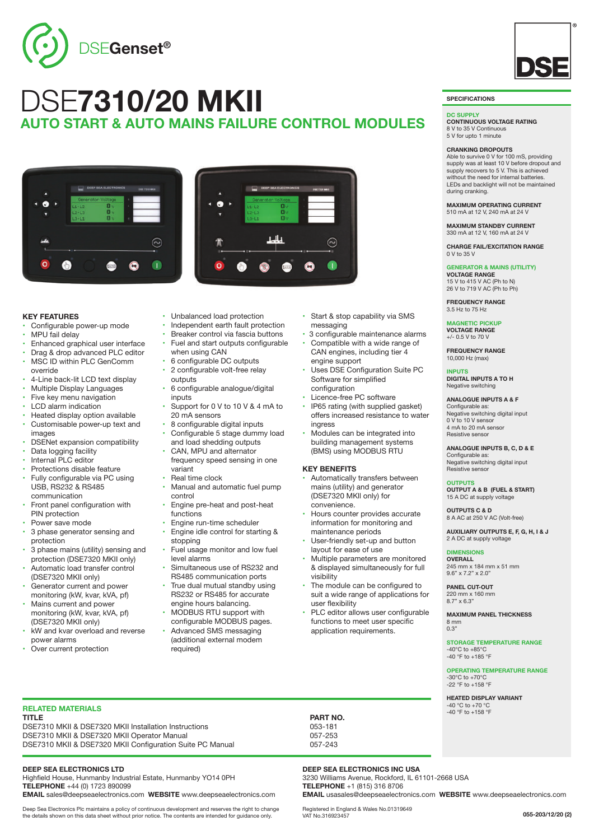

# DSE**7310/20 MKII AUTO START & AUTO MAINS FAILURE CONTROL MODULES**



## **KEY FEATURES**

- Configurable power-up mode
- MPU fail delay
- Enhanced graphical user interface
- Drag & drop advanced PLC editor
- MSC ID within PLC GenComm override
- 4-Line back-lit LCD text display
- Multiple Display Languages
- Five key menu navigation
- LCD alarm indication
- Heated display option available Customisable power-up text and images
- DSENet expansion compatibility
- Data logging facility
- Internal PLC editor
- Protections disable feature
- Fully configurable via PC using USB, RS232 & RS485 communication
- Front panel configuration with PIN protection
- Power save mode
- 3 phase generator sensing and protection
- 3 phase mains (utility) sensing and protection (DSE7320 MKII only)
- Automatic load transfer control (DSE7320 MKII only)
- Generator current and power monitoring (kW, kvar, kVA, pf) Mains current and power
- monitoring (kW, kvar, kVA, pf) (DSE7320 MKII only)
- kW and kvar overload and reverse power alarms
- Over current protection
- Unbalanced load protection<br>• Independent earth fault prote
- Independent earth fault protection
- Breaker control via fascia buttons Fuel and start outputs configurable
- when using CAN
- 6 configurable DC outputs
- 2 configurable volt-free relay outputs
- 6 configurable analogue/digital inputs
- Support for 0 V to 10 V & 4 mA to 20 mA sensors
- 8 configurable digital inputs
- Configurable 5 stage dummy load and load shedding outputs CAN, MPU and alternator
- frequency speed sensing in one variant
- Real time clock
- Manual and automatic fuel pump control
- Engine pre-heat and post-heat functions
- Engine run-time scheduler • Engine idle control for starting &
- stopping Fuel usage monitor and low fuel
- level alarms Simultaneous use of RS232 and
- RS485 communication ports True dual mutual standby using RS232 or RS485 for accurate
- engine hours balancing. • MODBUS RTU support with configurable MODBUS pages.
- Advanced SMS messaging (additional external modem required)

• Start & stop capability via SMS messaging

 $\odot$ 

- 3 configurable maintenance alarms
- Compatible with a wide range of CAN engines, including tier 4 engine support
- Uses DSE Configuration Suite PC Software for simplified configuration
- Licence-free PC software
- IP65 rating (with supplied gasket) offers increased resistance to water ingress
- Modules can be integrated into building management systems (BMS) using MODBUS RTU

## **KEY BENEFITS**

- Automatically transfers between mains (utility) and generator (DSE7320 MKll only) for convenience.
- Hours counter provides accurate information for monitoring and maintenance periods
- User-friendly set-up and button layout for ease of use
- Multiple parameters are monitored & displayed simultaneously for full visibility
- The module can be configured to suit a wide range of applications for user flexibility
- PLC editor allows user configurable functions to meet user specific application requirements.

**SPECIFICATIONS**

### **DC SUPPLY**

**CONTINUOUS VOLTAGE RATING** 8 V to 35 V Continuous 5 V for upto 1 minute

### **CRANKING DROPOUTS**

Able to survive 0 V for 100 mS, providing supply was at least 10 V before dropout and supply recovers to 5 V. This is achieved without the need for internal batteries. LEDs and backlight will not be maintained during cranking.

#### **MAXIMUM OPERATING CURRENT** 510 mA at 12 V, 240 mA at 24 V

**MAXIMUM STANDBY CURRENT** 330 mA at 12 V, 160 mA at 24 V

**CHARGE FAIL/EXCITATION RANGE** 0 V to 35 V

## **GENERATOR & MAINS (UTILITY)**

**VOLTAGE RANGE** 15 V to 415 V AC (Ph to N) 26 V to 719 V AC (Ph to Ph)

**FREQUENCY RANGE** 3.5 Hz to 75 Hz

#### **MAGNETIC PICKUP VOLTAGE RANGE** +/- 0.5 V to 70 V

**FREQUENCY RANGE** 10,000 Hz (max)

## **INPUTS**

**DIGITAL INPUTS A TO H** Negative switching

## **ANALOGUE INPUTS A & F**

Configurable as: Negative switching digital input 0 V to 10 V sensor 4 mA to 20 mA sensor Resistive sensor

**ANALOGUE INPUTS B, C, D & E**

Configurable as: Negative switching digital input Resistive sensor

## **OUTPUTS**

**OUTPUT A & B (FUEL & START)** 15 A DC at supply voltage

**OUTPUTS C & D** 8 A AC at 250 V AC (Volt-free)

**AUXILIARY OUTPUTS E, F, G, H, I & J** 2 A DC at supply voltage

## **DIMENSIONS**

**OVERALL** 245 mm x 184 mm x 51 mm 9.6" x 7.2" x 2.0"

**PANEL CUT-OUT** 220 mm x 160 mm 8.7" x 6.3"

**MAXIMUM PANEL THICKNESS** 8 mm 0.3"

**STORAGE TEMPERATURE RANGE**  $-40^{\circ}$ C to  $+85^{\circ}$ C -40 °F to +185 °F

**OPERATING TEMPERATURE RANGE** -30°C to +70°C -22 °F to +158 °F

**055-203/12/20 (2)**

**HEATED DISPLAY VARIANT** -40 °C to +70 °C -40 °F to +158 °F

**RELATED MATERIALS**

**TITLE PART NO.** DSE7310 MKII & DSE7320 MKII Installation Instructions 053-181 DSE7310 MKII & DSE7320 MKII Operator Manual 057-253 DSE7310 MKII & DSE7320 MKII Configuration Suite PC Manual 057-243

**DEEP SEA ELECTRONICS LTD**

Highfield House, Hunmanby Industrial Estate, Hunmanby YO14 0PH **TELEPHONE** +44 (0) 1723 890099 **EMAIL** sales@deepseaelectronics.com **WEBSITE** www.deepseaelectronics.com

Deep Sea Electronics Plc maintains a policy of continuous development and reserves the right to change the details shown on this data sheet without prior notice. The contents are intended for guidance only.

**DEEP SEA ELECTRONICS INC USA**

Registered in England & Wales No.01319649 VAT No.316923457

3230 Williams Avenue, Rockford, IL 61101-2668 USA **TELEPHONE** +1 (815) 316 8706 **EMAIL** usasales@deepseaelectronics.com **WEBSITE** www.deepseaelectronics.com